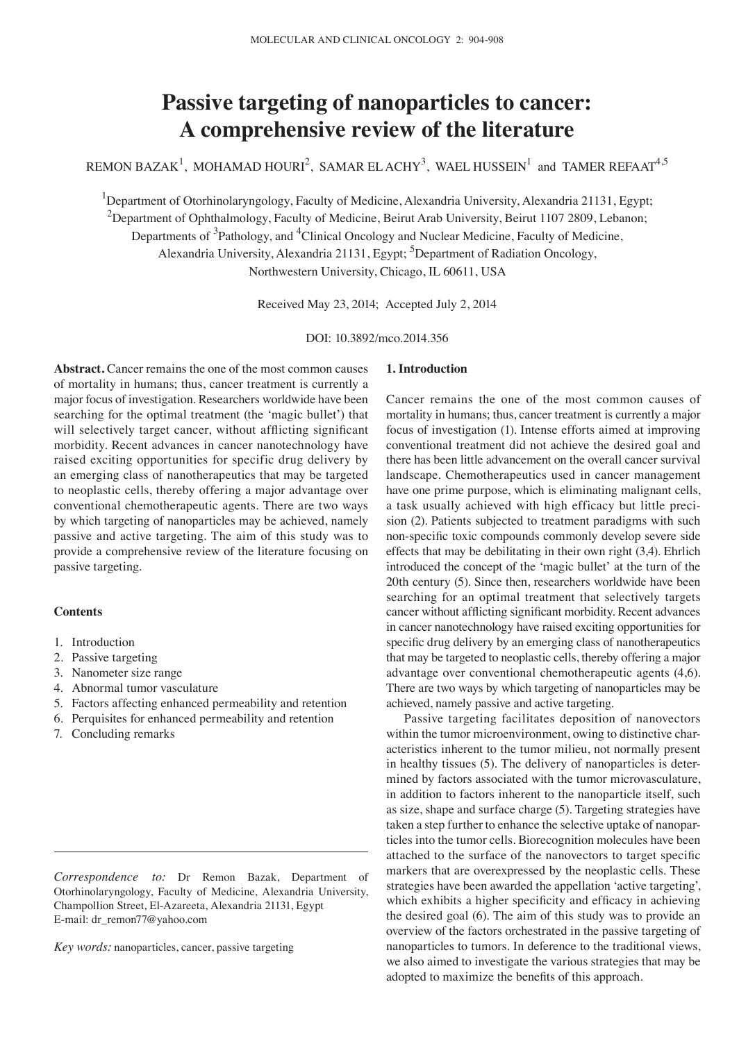# **Passive targeting of nanoparticles to cancer: A comprehensive review of the literature**

REMON BAZAK<sup>1</sup>, MOHAMAD HOURI<sup>2</sup>, SAMAR ELACHY<sup>3</sup>, WAEL HUSSEIN<sup>1</sup> and TAMER REFAAT<sup>4,5</sup>

<sup>1</sup>Department of Otorhinolaryngology, Faculty of Medicine, Alexandria University, Alexandria 21131, Egypt;  $^2$ Department of Ophthalmology, Faculty of Medicine, Beirut Arab University, Beirut 1107 2809, Lebanon; Departments of <sup>3</sup>Pathology, and <sup>4</sup>Clinical Oncology and Nuclear Medicine, Faculty of Medicine, Alexandria University, Alexandria 21131, Egypt; <sup>5</sup>Department of Radiation Oncology, Northwestern University, Chicago, IL 60611, USA

Received May 23, 2014; Accepted July 2, 2014

DOI: 10.3892/mco.2014.356

**Abstract.** Cancer remains the one of the most common causes of mortality in humans; thus, cancer treatment is currently a major focus of investigation. Researchers worldwide have been searching for the optimal treatment (the 'magic bullet') that will selectively target cancer, without afflicting significant morbidity. Recent advances in cancer nanotechnology have raised exciting opportunities for specific drug delivery by an emerging class of nanotherapeutics that may be targeted to neoplastic cells, thereby offering a major advantage over conventional chemotherapeutic agents. There are two ways by which targeting of nanoparticles may be achieved, namely passive and active targeting. The aim of this study was to provide a comprehensive review of the literature focusing on passive targeting.

## **Contents**

- 1. Introduction
- 2. Passive targeting
- 3. Nanometer size range
- 4. Abnormal tumor vasculature
- 5. Factors affecting enhanced permeability and retention
- 6. Perquisites for enhanced permeability and retention
- 7. Concluding remarks

*Key words:* nanoparticles, cancer, passive targeting

# **1. Introduction**

Cancer remains the one of the most common causes of mortality in humans; thus, cancer treatment is currently a major focus of investigation (1). Intense efforts aimed at improving conventional treatment did not achieve the desired goal and there has been little advancement on the overall cancer survival landscape. Chemotherapeutics used in cancer management have one prime purpose, which is eliminating malignant cells, a task usually achieved with high efficacy but little precision (2). Patients subjected to treatment paradigms with such non-specific toxic compounds commonly develop severe side effects that may be debilitating in their own right (3,4). Ehrlich introduced the concept of the 'magic bullet' at the turn of the 20th century (5). Since then, researchers worldwide have been searching for an optimal treatment that selectively targets cancer without afflicting significant morbidity. Recent advances in cancer nanotechnology have raised exciting opportunities for specific drug delivery by an emerging class of nanotherapeutics that may be targeted to neoplastic cells, thereby offering a major advantage over conventional chemotherapeutic agents (4,6). There are two ways by which targeting of nanoparticles may be achieved, namely passive and active targeting.

Passive targeting facilitates deposition of nanovectors within the tumor microenvironment, owing to distinctive characteristics inherent to the tumor milieu, not normally present in healthy tissues (5). The delivery of nanoparticles is determined by factors associated with the tumor microvasculature, in addition to factors inherent to the nanoparticle itself, such as size, shape and surface charge (5). Targeting strategies have taken a step further to enhance the selective uptake of nanoparticles into the tumor cells. Biorecognition molecules have been attached to the surface of the nanovectors to target specific markers that are overexpressed by the neoplastic cells. These strategies have been awarded the appellation 'active targeting', which exhibits a higher specificity and efficacy in achieving the desired goal (6). The aim of this study was to provide an overview of the factors orchestrated in the passive targeting of nanoparticles to tumors. In deference to the traditional views, we also aimed to investigate the various strategies that may be adopted to maximize the benefits of this approach.

*Correspondence to:* Dr Remon Bazak, Department of Otorhinolaryngology, Faculty of Medicine, Alexandria University, Champollion Street, El-Azareeta, Alexandria 21131, Egypt E-mail: dr\_remon77@yahoo.com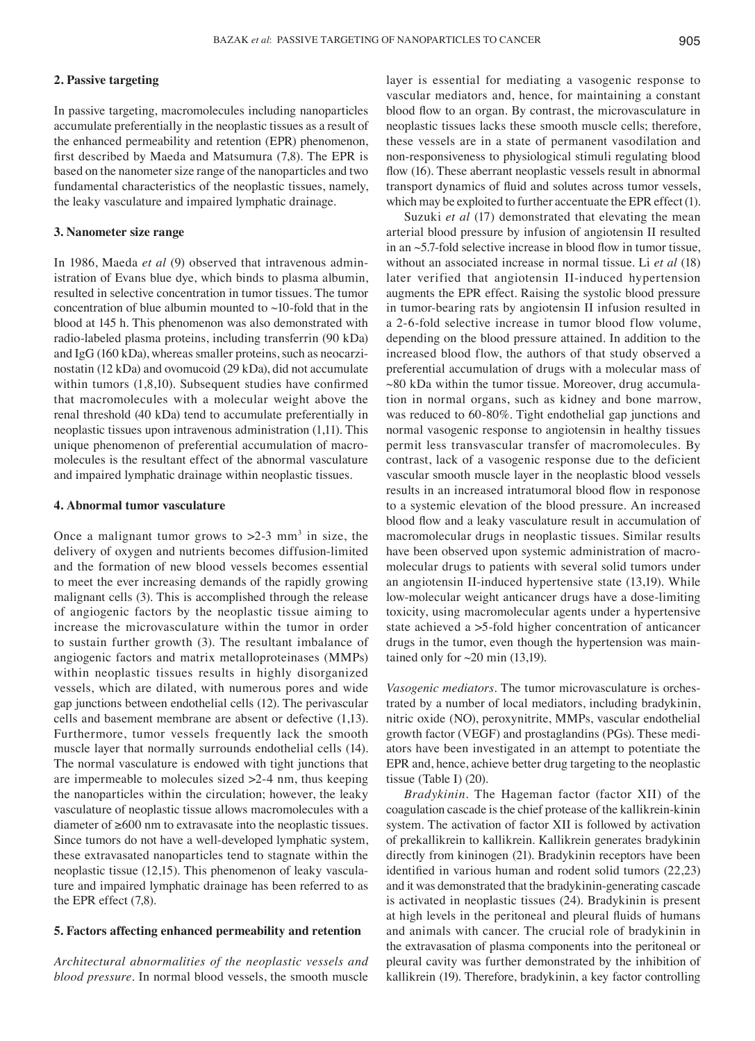# **2. Passive targeting**

In passive targeting, macromolecules including nanoparticles accumulate preferentially in the neoplastic tissues as a result of the enhanced permeability and retention (EPR) phenomenon, first described by Maeda and Matsumura (7,8). The EPR is based on the nanometer size range of the nanoparticles and two fundamental characteristics of the neoplastic tissues, namely, the leaky vasculature and impaired lymphatic drainage.

## **3. Nanometer size range**

In 1986, Maeda *et al* (9) observed that intravenous administration of Evans blue dye, which binds to plasma albumin, resulted in selective concentration in tumor tissues. The tumor concentration of blue albumin mounted to  $\sim$ 10-fold that in the blood at 145 h. This phenomenon was also demonstrated with radio-labeled plasma proteins, including transferrin (90 kDa) and IgG (160 kDa), whereas smaller proteins, such as neocarzinostatin (12 kDa) and ovomucoid (29 kDa), did not accumulate within tumors  $(1,8,10)$ . Subsequent studies have confirmed that macromolecules with a molecular weight above the renal threshold (40 kDa) tend to accumulate preferentially in neoplastic tissues upon intravenous administration (1,11). This unique phenomenon of preferential accumulation of macromolecules is the resultant effect of the abnormal vasculature and impaired lymphatic drainage within neoplastic tissues.

#### **4. Abnormal tumor vasculature**

Once a malignant tumor grows to  $>2-3$  mm<sup>3</sup> in size, the delivery of oxygen and nutrients becomes diffusion-limited and the formation of new blood vessels becomes essential to meet the ever increasing demands of the rapidly growing malignant cells (3). This is accomplished through the release of angiogenic factors by the neoplastic tissue aiming to increase the microvasculature within the tumor in order to sustain further growth (3). The resultant imbalance of angiogenic factors and matrix metalloproteinases (MMPs) within neoplastic tissues results in highly disorganized vessels, which are dilated, with numerous pores and wide gap junctions between endothelial cells (12). The perivascular cells and basement membrane are absent or defective (1,13). Furthermore, tumor vessels frequently lack the smooth muscle layer that normally surrounds endothelial cells (14). The normal vasculature is endowed with tight junctions that are impermeable to molecules sized >2-4 nm, thus keeping the nanoparticles within the circulation; however, the leaky vasculature of neoplastic tissue allows macromolecules with a diameter of ≥600 nm to extravasate into the neoplastic tissues. Since tumors do not have a well-developed lymphatic system, these extravasated nanoparticles tend to stagnate within the neoplastic tissue (12,15). This phenomenon of leaky vasculature and impaired lymphatic drainage has been referred to as the EPR effect (7,8).

## **5. Factors affecting enhanced permeability and retention**

*Architectural abnormalities of the neoplastic vessels and blood pressure.* In normal blood vessels, the smooth muscle layer is essential for mediating a vasogenic response to vascular mediators and, hence, for maintaining a constant blood flow to an organ. By contrast, the microvasculature in neoplastic tissues lacks these smooth muscle cells; therefore, these vessels are in a state of permanent vasodilation and non-responsiveness to physiological stimuli regulating blood flow (16). These aberrant neoplastic vessels result in abnormal transport dynamics of fluid and solutes across tumor vessels, which may be exploited to further accentuate the EPR effect (1).

Suzuki *et al* (17) demonstrated that elevating the mean arterial blood pressure by infusion of angiotensin II resulted in an ~5.7‑fold selective increase in blood flow in tumor tissue, without an associated increase in normal tissue. Li *et al* (18) later verified that angiotensin II-induced hypertension augments the EPR effect. Raising the systolic blood pressure in tumor-bearing rats by angiotensin II infusion resulted in a 2-6-fold selective increase in tumor blood flow volume, depending on the blood pressure attained. In addition to the increased blood flow, the authors of that study observed a preferential accumulation of drugs with a molecular mass of  $\sim$ 80 kDa within the tumor tissue. Moreover, drug accumulation in normal organs, such as kidney and bone marrow, was reduced to 60-80%. Tight endothelial gap junctions and normal vasogenic response to angiotensin in healthy tissues permit less transvascular transfer of macromolecules. By contrast, lack of a vasogenic response due to the deficient vascular smooth muscle layer in the neoplastic blood vessels results in an increased intratumoral blood flow in responose to a systemic elevation of the blood pressure. An increased blood flow and a leaky vasculature result in accumulation of macromolecular drugs in neoplastic tissues. Similar results have been observed upon systemic administration of macromolecular drugs to patients with several solid tumors under an angiotensin II-induced hypertensive state (13,19). While low-molecular weight anticancer drugs have a dose-limiting toxicity, using macromolecular agents under a hypertensive state achieved a >5-fold higher concentration of anticancer drugs in the tumor, even though the hypertension was maintained only for  $\sim$  20 min (13,19).

*Vasogenic mediators.* The tumor microvasculature is orchestrated by a number of local mediators, including bradykinin, nitric oxide (NO), peroxynitrite, MMPs, vascular endothelial growth factor (VEGF) and prostaglandins (PGs). These mediators have been investigated in an attempt to potentiate the EPR and, hence, achieve better drug targeting to the neoplastic tissue (Table I) (20).

*Bradykinin*. The Hageman factor (factor XII) of the coagulation cascade is the chief protease of the kallikrein-kinin system. The activation of factor XII is followed by activation of prekallikrein to kallikrein. Kallikrein generates bradykinin directly from kininogen (21). Bradykinin receptors have been identified in various human and rodent solid tumors (22,23) and it was demonstrated that the bradykinin-generating cascade is activated in neoplastic tissues (24). Bradykinin is present at high levels in the peritoneal and pleural fluids of humans and animals with cancer. The crucial role of bradykinin in the extravasation of plasma components into the peritoneal or pleural cavity was further demonstrated by the inhibition of kallikrein (19). Therefore, bradykinin, a key factor controlling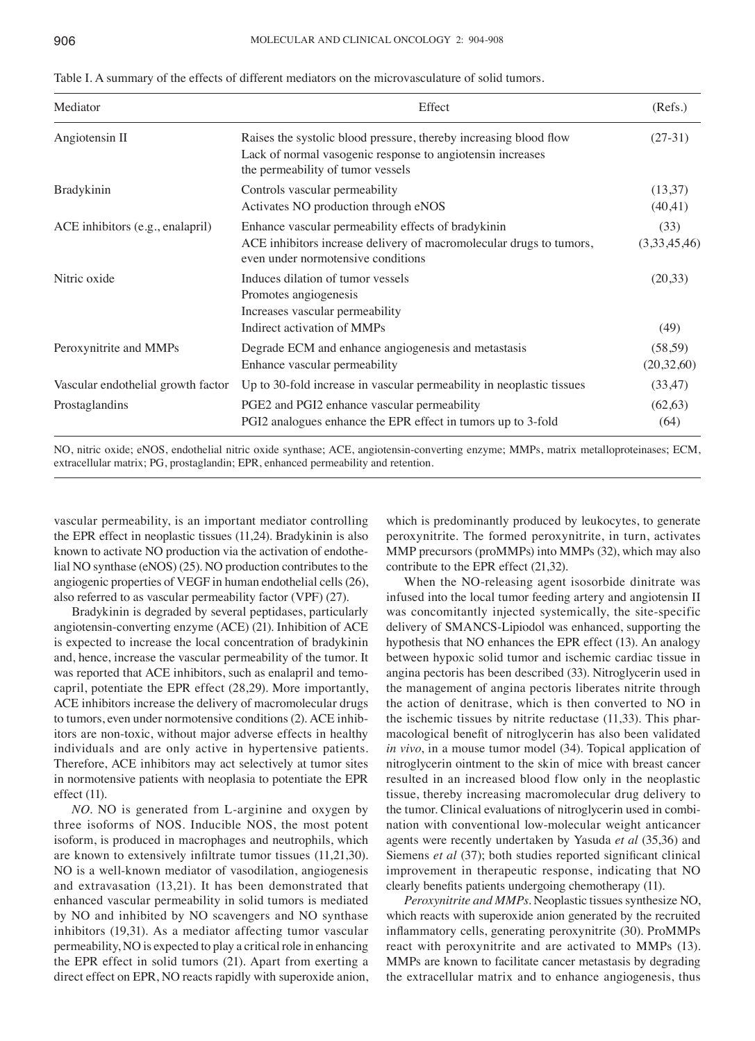| Table I. A summary of the effects of different mediators on the microvasculature of solid tumors. |  |
|---------------------------------------------------------------------------------------------------|--|
|---------------------------------------------------------------------------------------------------|--|

| Mediator                           | Effect                                                                                                                                                               | (Refs.)                |
|------------------------------------|----------------------------------------------------------------------------------------------------------------------------------------------------------------------|------------------------|
| Angiotensin II                     | Raises the systolic blood pressure, thereby increasing blood flow<br>Lack of normal vasogenic response to angiotensin increases<br>the permeability of tumor vessels | $(27-31)$              |
| <b>Bradykinin</b>                  | Controls vascular permeability<br>Activates NO production through eNOS                                                                                               | (13,37)<br>(40, 41)    |
| ACE inhibitors (e.g., enalapril)   | Enhance vascular permeability effects of bradykinin<br>ACE inhibitors increase delivery of macromolecular drugs to tumors,<br>even under normotensive conditions     | (33)<br>(3,33,45,46)   |
| Nitric oxide                       | Induces dilation of tumor vessels<br>Promotes angiogenesis<br>Increases vascular permeability<br>Indirect activation of MMPs                                         | (20,33)<br>(49)        |
| Peroxynitrite and MMPs             | Degrade ECM and enhance angiogenesis and metastasis<br>Enhance vascular permeability                                                                                 | (58, 59)<br>(20,32,60) |
| Vascular endothelial growth factor | Up to 30-fold increase in vascular permeability in neoplastic tissues                                                                                                | (33, 47)               |
| Prostaglandins                     | PGE2 and PGI2 enhance vascular permeability<br>PGI2 analogues enhance the EPR effect in tumors up to 3-fold                                                          | (62, 63)<br>(64)       |

NO, nitric oxide; eNOS, endothelial nitric oxide synthase; ACE, angiotensin-converting enzyme; MMPs, matrix metalloproteinases; ECM, extracellular matrix; PG, prostaglandin; EPR, enhanced permeability and retention.

vascular permeability, is an important mediator controlling the EPR effect in neoplastic tissues (11,24). Bradykinin is also known to activate NO production via the activation of endothelial NO synthase (eNOS) (25). NO production contributes to the angiogenic properties of VEGF in human endothelial cells(26), also referred to as vascular permeability factor (VPF) (27).

Bradykinin is degraded by several peptidases, particularly angiotensin-converting enzyme (ACE) (21). Inhibition of ACE is expected to increase the local concentration of bradykinin and, hence, increase the vascular permeability of the tumor. It was reported that ACE inhibitors, such as enalapril and temocapril, potentiate the EPR effect (28,29). More importantly, ACE inhibitors increase the delivery of macromolecular drugs to tumors, even under normotensive conditions (2). ACE inhibitors are non-toxic, without major adverse effects in healthy individuals and are only active in hypertensive patients. Therefore, ACE inhibitors may act selectively at tumor sites in normotensive patients with neoplasia to potentiate the EPR effect (11).

*NO*. NO is generated from L-arginine and oxygen by three isoforms of NOS. Inducible NOS, the most potent isoform, is produced in macrophages and neutrophils, which are known to extensively infiltrate tumor tissues (11,21,30). NO is a well-known mediator of vasodilation, angiogenesis and extravasation (13,21). It has been demonstrated that enhanced vascular permeability in solid tumors is mediated by NO and inhibited by NO scavengers and NO synthase inhibitors (19,31). As a mediator affecting tumor vascular permeability, NO is expected to play a critical role in enhancing the EPR effect in solid tumors (21). Apart from exerting a direct effect on EPR, NO reacts rapidly with superoxide anion,

which is predominantly produced by leukocytes, to generate peroxynitrite. The formed peroxynitrite, in turn, activates MMP precursors (proMMPs) into MMPs (32), which may also contribute to the EPR effect (21,32).

When the NO-releasing agent isosorbide dinitrate was infused into the local tumor feeding artery and angiotensin II was concomitantly injected systemically, the site-specific delivery of SMANCS-Lipiodol was enhanced, supporting the hypothesis that NO enhances the EPR effect (13). An analogy between hypoxic solid tumor and ischemic cardiac tissue in angina pectoris has been described (33). Nitroglycerin used in the management of angina pectoris liberates nitrite through the action of denitrase, which is then converted to NO in the ischemic tissues by nitrite reductase (11,33). This pharmacological benefit of nitroglycerin has also been validated *in vivo*, in a mouse tumor model (34). Topical application of nitroglycerin ointment to the skin of mice with breast cancer resulted in an increased blood flow only in the neoplastic tissue, thereby increasing macromolecular drug delivery to the tumor. Clinical evaluations of nitroglycerin used in combination with conventional low-molecular weight anticancer agents were recently undertaken by Yasuda *et al* (35,36) and Siemens *et al* (37); both studies reported significant clinical improvement in therapeutic response, indicating that NO clearly benefits patients undergoing chemotherapy (11).

*Peroxynitrite and MMPs*. Neoplastic tissues synthesize NO, which reacts with superoxide anion generated by the recruited inflammatory cells, generating peroxynitrite (30). ProMMPs react with peroxynitrite and are activated to MMPs (13). MMPs are known to facilitate cancer metastasis by degrading the extracellular matrix and to enhance angiogenesis, thus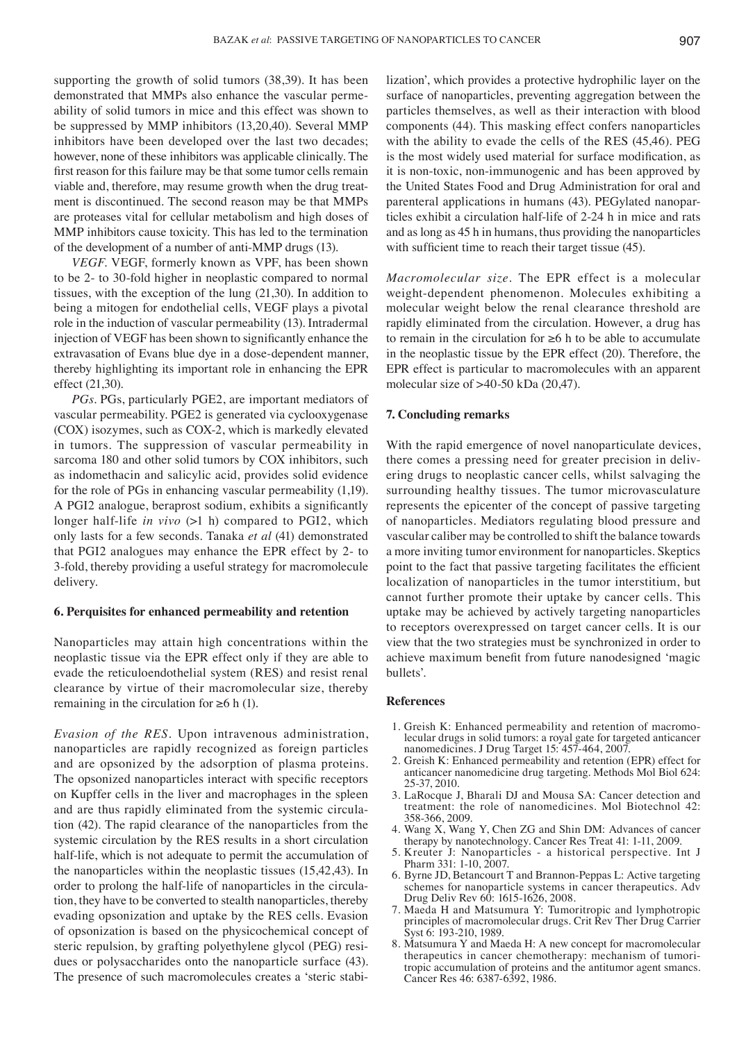supporting the growth of solid tumors (38,39). It has been demonstrated that MMPs also enhance the vascular permeability of solid tumors in mice and this effect was shown to be suppressed by MMP inhibitors (13,20,40). Several MMP inhibitors have been developed over the last two decades; however, none of these inhibitors was applicable clinically. The first reason for this failure may be that some tumor cells remain viable and, therefore, may resume growth when the drug treatment is discontinued. The second reason may be that MMPs are proteases vital for cellular metabolism and high doses of MMP inhibitors cause toxicity. This has led to the termination of the development of a number of anti-MMP drugs (13).

*VEGF*. VEGF, formerly known as VPF, has been shown to be 2- to 30-fold higher in neoplastic compared to normal tissues, with the exception of the lung (21,30). In addition to being a mitogen for endothelial cells, VEGF plays a pivotal role in the induction of vascular permeability (13). Intradermal injection of VEGF has been shown to significantly enhance the extravasation of Evans blue dye in a dose-dependent manner, thereby highlighting its important role in enhancing the EPR effect (21,30).

*PGs*. PGs, particularly PGE2, are important mediators of vascular permeability. PGE2 is generated via cyclooxygenase (COX) isozymes, such as COX-2, which is markedly elevated in tumors. The suppression of vascular permeability in sarcoma 180 and other solid tumors by COX inhibitors, such as indomethacin and salicylic acid, provides solid evidence for the role of PGs in enhancing vascular permeability (1,19). A PGI2 analogue, beraprost sodium, exhibits a significantly longer half-life *in vivo* (>1 h) compared to PGI2, which only lasts for a few seconds. Tanaka *et al* (41) demonstrated that PGI2 analogues may enhance the EPR effect by 2- to 3-fold, thereby providing a useful strategy for macromolecule delivery.

# **6. Perquisites for enhanced permeability and retention**

Nanoparticles may attain high concentrations within the neoplastic tissue via the EPR effect only if they are able to evade the reticuloendothelial system (RES) and resist renal clearance by virtue of their macromolecular size, thereby remaining in the circulation for  $\geq 6$  h (1).

*Evasion of the RES.* Upon intravenous administration, nanoparticles are rapidly recognized as foreign particles and are opsonized by the adsorption of plasma proteins. The opsonized nanoparticles interact with specific receptors on Kupffer cells in the liver and macrophages in the spleen and are thus rapidly eliminated from the systemic circulation (42). The rapid clearance of the nanoparticles from the systemic circulation by the RES results in a short circulation half-life, which is not adequate to permit the accumulation of the nanoparticles within the neoplastic tissues (15,42,43). In order to prolong the half-life of nanoparticles in the circulation, they have to be converted to stealth nanoparticles, thereby evading opsonization and uptake by the RES cells. Evasion of opsonization is based on the physicochemical concept of steric repulsion, by grafting polyethylene glycol (PEG) residues or polysaccharides onto the nanoparticle surface (43). The presence of such macromolecules creates a 'steric stabilization', which provides a protective hydrophilic layer on the surface of nanoparticles, preventing aggregation between the particles themselves, as well as their interaction with blood components (44). This masking effect confers nanoparticles with the ability to evade the cells of the RES (45,46). PEG is the most widely used material for surface modification, as it is non-toxic, non-immunogenic and has been approved by the United States Food and Drug Administration for oral and parenteral applications in humans (43). PEGylated nanoparticles exhibit a circulation half-life of 2-24 h in mice and rats and as long as 45 h in humans, thus providing the nanoparticles with sufficient time to reach their target tissue (45).

*Macromolecular size.* The EPR effect is a molecular weight-dependent phenomenon. Molecules exhibiting a molecular weight below the renal clearance threshold are rapidly eliminated from the circulation. However, a drug has to remain in the circulation for ≥6 h to be able to accumulate in the neoplastic tissue by the EPR effect (20). Therefore, the EPR effect is particular to macromolecules with an apparent molecular size of >40-50 kDa (20,47).

## **7. Concluding remarks**

With the rapid emergence of novel nanoparticulate devices, there comes a pressing need for greater precision in delivering drugs to neoplastic cancer cells, whilst salvaging the surrounding healthy tissues. The tumor microvasculature represents the epicenter of the concept of passive targeting of nanoparticles. Mediators regulating blood pressure and vascular caliber may be controlled to shift the balance towards a more inviting tumor environment for nanoparticles. Skeptics point to the fact that passive targeting facilitates the efficient localization of nanoparticles in the tumor interstitium, but cannot further promote their uptake by cancer cells. This uptake may be achieved by actively targeting nanoparticles to receptors overexpressed on target cancer cells. It is our view that the two strategies must be synchronized in order to achieve maximum benefit from future nanodesigned 'magic bullets'.

#### **References**

- 1. Greish K: Enhanced permeability and retention of macromolecular drugs in solid tumors: a royal gate for targeted anticancer nanomedicines. J Drug Target 15: 457-464, 2007.
- 2. Greish K: Enhanced permeability and retention (EPR) effect for anticancer nanomedicine drug targeting. Methods Mol Biol 624: 25-37, 2010.
- 3. LaRocque J, Bharali DJ and Mousa SA: Cancer detection and treatment: the role of nanomedicines. Mol Biotechnol 42: 358-366, 2009.
- 4. Wang X, Wang Y, Chen ZG and Shin DM: Advances of cancer therapy by nanotechnology. Cancer Res Treat 41: 1-11, 2009.
- 5. Kreuter J: Nanoparticles a historical perspective. Int J Pharm 331: 1-10, 2007.
- 6. Byrne JD, Betancourt T and Brannon-Peppas L: Active targeting schemes for nanoparticle systems in cancer therapeutics. Adv Drug Deliv Rev 60: 1615-1626, 2008.
- 7. Maeda H and Matsumura Y: Tumoritropic and lymphotropic principles of macromolecular drugs. Crit Rev Ther Drug Carrier Syst 6: 193-210, 1989.
- 8. Matsumura Y and Maeda H: A new concept for macromolecular therapeutics in cancer chemotherapy: mechanism of tumoritropic accumulation of proteins and the antitumor agent smancs. Cancer Res 46: 6387-6392, 1986.